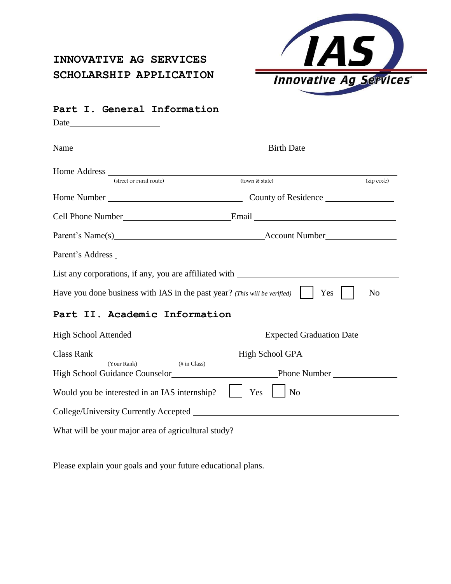# **INNOVATIVE AG SERVICES SCHOLARSHIP APPLICATION**



# **Part I. General Information** Date and the same state of the state of the state of the state of the state of the state of the state of the state of the state of the state of the state of the state of the state of the state of the state of the state of Name Birth Date Home Address (street or rural route) (town & state) (zip code) (zip code) Home Number County of Residence Cell Phone Number **Email** Email Parent's Name(s) Account Number Parent's Address List any corporations, if any, you are affiliated with Have you done business with IAS in the past year? *(This will be verified)* Yes No **Part II. Academic Information** High School Attended Expected Graduation Date Class Rank High School GPA (Your Rank) (# in Class) High School Guidance Counselor Phone Number Would you be interested in an IAS internship?  $\parallel$  Yes  $\parallel$  No

College/University Currently Accepted

What will be your major area of agricultural study?

Please explain your goals and your future educational plans.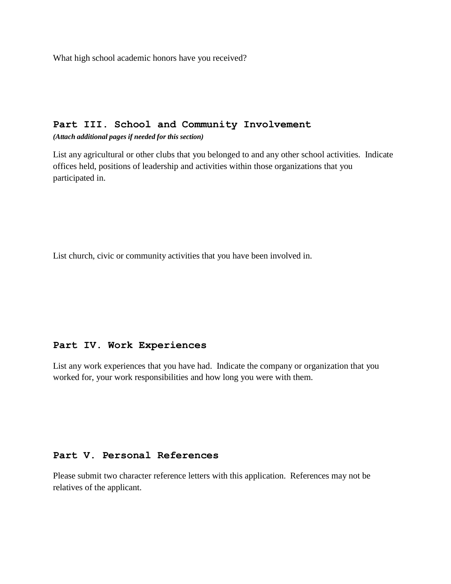What high school academic honors have you received?

# **Part III. School and Community Involvement**

*(Attach additional pages if needed for this section)*

List any agricultural or other clubs that you belonged to and any other school activities. Indicate offices held, positions of leadership and activities within those organizations that you participated in.

List church, civic or community activities that you have been involved in.

#### **Part IV. Work Experiences**

List any work experiences that you have had. Indicate the company or organization that you worked for, your work responsibilities and how long you were with them.

#### **Part V. Personal References**

Please submit two character reference letters with this application. References may not be relatives of the applicant.